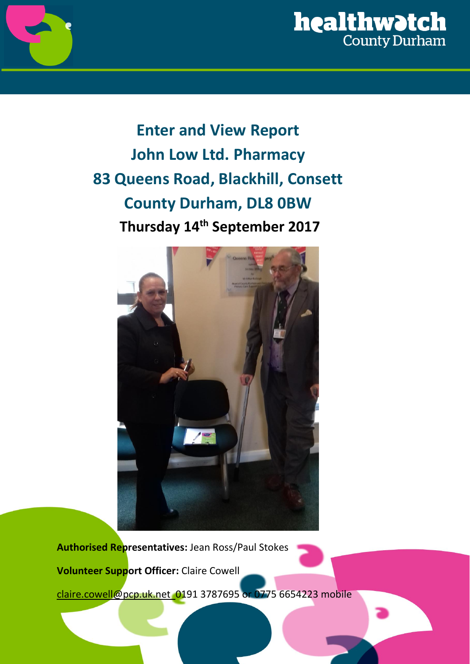



**Enter and View Report John Low Ltd. Pharmacy 83 Queens Road, Blackhill, Consett County Durham, DL8 0BW Thursday 14 th September 2017** 



**Authorised Representatives:** Jean Ross/Paul Stokes

**Volunteer Support Officer:** Claire Cowell

[claire.cowell@pcp.uk.net](mailto:claire.cowell@pcp.uk.net) 0191 3787695 or 0775 6654223 mobile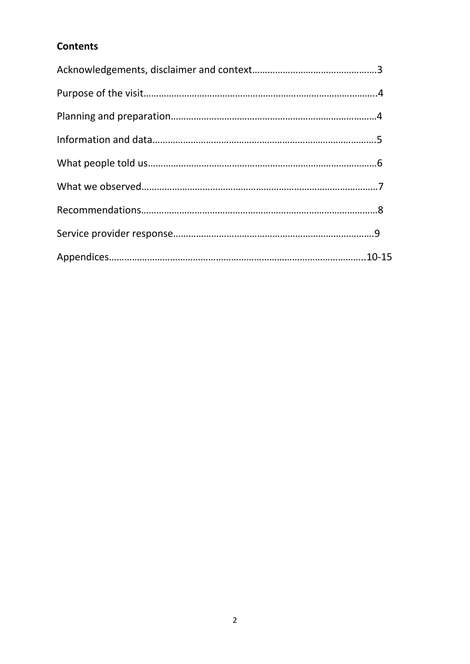#### **Contents**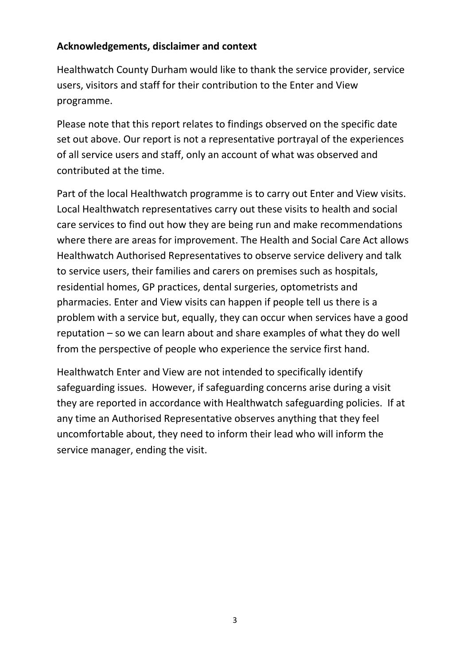#### **Acknowledgements, disclaimer and context**

Healthwatch County Durham would like to thank the service provider, service users, visitors and staff for their contribution to the Enter and View programme.

Please note that this report relates to findings observed on the specific date set out above. Our report is not a representative portrayal of the experiences of all service users and staff, only an account of what was observed and contributed at the time.

Part of the local Healthwatch programme is to carry out Enter and View visits. Local Healthwatch representatives carry out these visits to health and social care services to find out how they are being run and make recommendations where there are areas for improvement. The Health and Social Care Act allows Healthwatch Authorised Representatives to observe service delivery and talk to service users, their families and carers on premises such as hospitals, residential homes, GP practices, dental surgeries, optometrists and pharmacies. Enter and View visits can happen if people tell us there is a problem with a service but, equally, they can occur when services have a good reputation – so we can learn about and share examples of what they do well from the perspective of people who experience the service first hand.

Healthwatch Enter and View are not intended to specifically identify safeguarding issues. However, if safeguarding concerns arise during a visit they are reported in accordance with Healthwatch safeguarding policies. If at any time an Authorised Representative observes anything that they feel uncomfortable about, they need to inform their lead who will inform the service manager, ending the visit.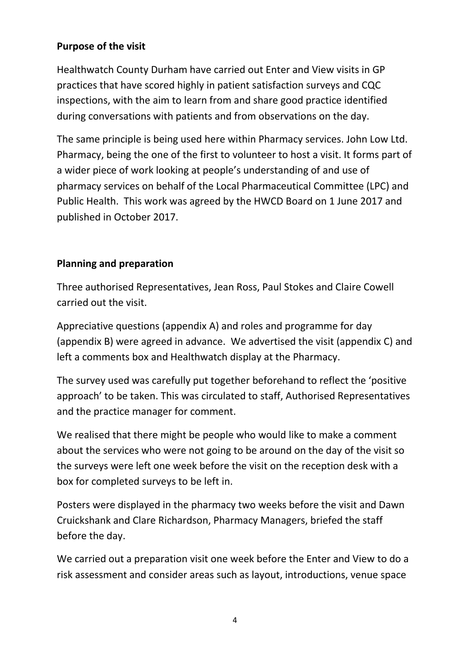#### **Purpose of the visit**

Healthwatch County Durham have carried out Enter and View visits in GP practices that have scored highly in patient satisfaction surveys and CQC inspections, with the aim to learn from and share good practice identified during conversations with patients and from observations on the day.

The same principle is being used here within Pharmacy services. John Low Ltd. Pharmacy, being the one of the first to volunteer to host a visit. It forms part of a wider piece of work looking at people's understanding of and use of pharmacy services on behalf of the Local Pharmaceutical Committee (LPC) and Public Health. This work was agreed by the HWCD Board on 1 June 2017 and published in October 2017.

#### **Planning and preparation**

Three authorised Representatives, Jean Ross, Paul Stokes and Claire Cowell carried out the visit.

Appreciative questions (appendix A) and roles and programme for day (appendix B) were agreed in advance. We advertised the visit (appendix C) and left a comments box and Healthwatch display at the Pharmacy.

The survey used was carefully put together beforehand to reflect the 'positive approach' to be taken. This was circulated to staff, Authorised Representatives and the practice manager for comment.

We realised that there might be people who would like to make a comment about the services who were not going to be around on the day of the visit so the surveys were left one week before the visit on the reception desk with a box for completed surveys to be left in.

Posters were displayed in the pharmacy two weeks before the visit and Dawn Cruickshank and Clare Richardson, Pharmacy Managers, briefed the staff before the day.

We carried out a preparation visit one week before the Enter and View to do a risk assessment and consider areas such as layout, introductions, venue space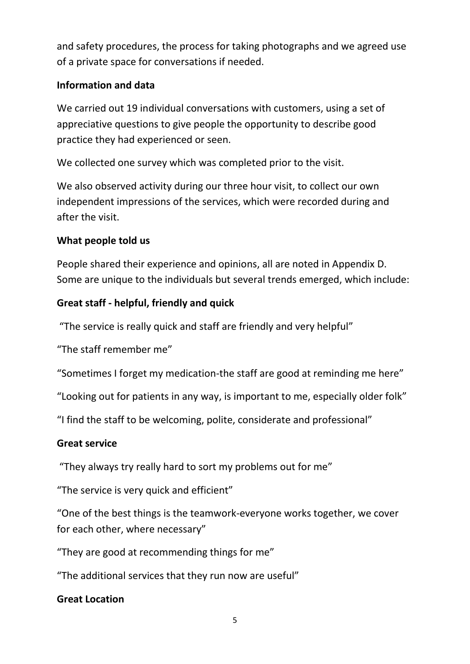and safety procedures, the process for taking photographs and we agreed use of a private space for conversations if needed.

#### **Information and data**

We carried out 19 individual conversations with customers, using a set of appreciative questions to give people the opportunity to describe good practice they had experienced or seen.

We collected one survey which was completed prior to the visit.

We also observed activity during our three hour visit, to collect our own independent impressions of the services, which were recorded during and after the visit.

#### **What people told us**

People shared their experience and opinions, all are noted in Appendix D. Some are unique to the individuals but several trends emerged, which include:

#### **Great staff - helpful, friendly and quick**

"The service is really quick and staff are friendly and very helpful"

"The staff remember me"

"Sometimes I forget my medication-the staff are good at reminding me here"

"Looking out for patients in any way, is important to me, especially older folk"

"I find the staff to be welcoming, polite, considerate and professional"

#### **Great service**

"They always try really hard to sort my problems out for me"

"The service is very quick and efficient"

"One of the best things is the teamwork-everyone works together, we cover for each other, where necessary"

"They are good at recommending things for me"

"The additional services that they run now are useful"

#### **Great Location**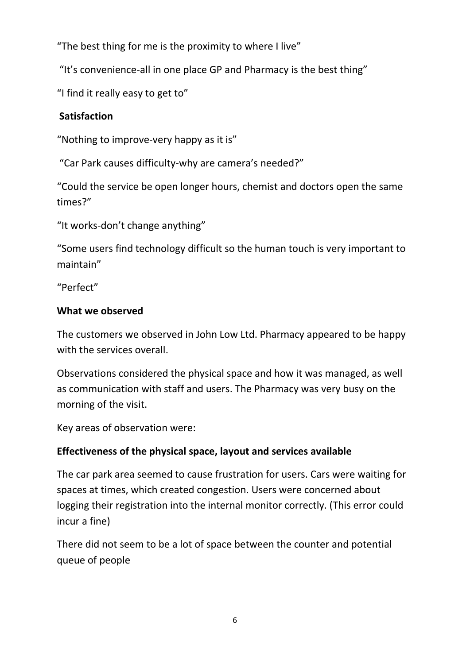"The best thing for me is the proximity to where I live"

"It's convenience-all in one place GP and Pharmacy is the best thing"

"I find it really easy to get to"

### **Satisfaction**

"Nothing to improve-very happy as it is"

"Car Park causes difficulty-why are camera's needed?"

"Could the service be open longer hours, chemist and doctors open the same times?"

"It works-don't change anything"

"Some users find technology difficult so the human touch is very important to maintain"

"Perfect"

### **What we observed**

The customers we observed in John Low Ltd. Pharmacy appeared to be happy with the services overall.

Observations considered the physical space and how it was managed, as well as communication with staff and users. The Pharmacy was very busy on the morning of the visit.

Key areas of observation were:

## **Effectiveness of the physical space, layout and services available**

The car park area seemed to cause frustration for users. Cars were waiting for spaces at times, which created congestion. Users were concerned about logging their registration into the internal monitor correctly. (This error could incur a fine)

There did not seem to be a lot of space between the counter and potential queue of people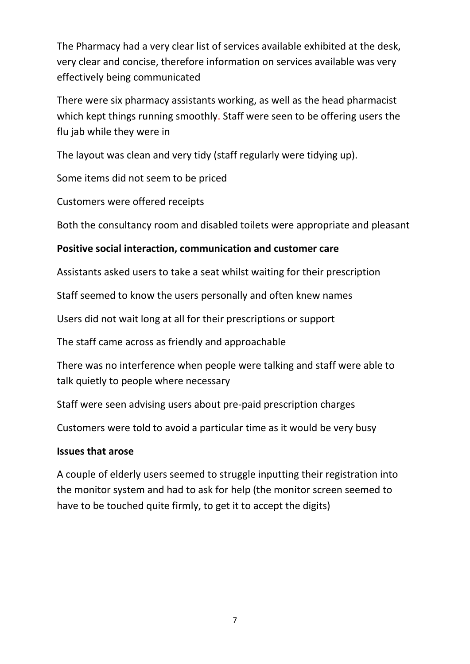The Pharmacy had a very clear list of services available exhibited at the desk, very clear and concise, therefore information on services available was very effectively being communicated

There were six pharmacy assistants working, as well as the head pharmacist which kept things running smoothly. Staff were seen to be offering users the flu jab while they were in

The layout was clean and very tidy (staff regularly were tidying up).

Some items did not seem to be priced

Customers were offered receipts

Both the consultancy room and disabled toilets were appropriate and pleasant

#### **Positive social interaction, communication and customer care**

Assistants asked users to take a seat whilst waiting for their prescription

Staff seemed to know the users personally and often knew names

Users did not wait long at all for their prescriptions or support

The staff came across as friendly and approachable

There was no interference when people were talking and staff were able to talk quietly to people where necessary

Staff were seen advising users about pre-paid prescription charges

Customers were told to avoid a particular time as it would be very busy

#### **Issues that arose**

A couple of elderly users seemed to struggle inputting their registration into the monitor system and had to ask for help (the monitor screen seemed to have to be touched quite firmly, to get it to accept the digits)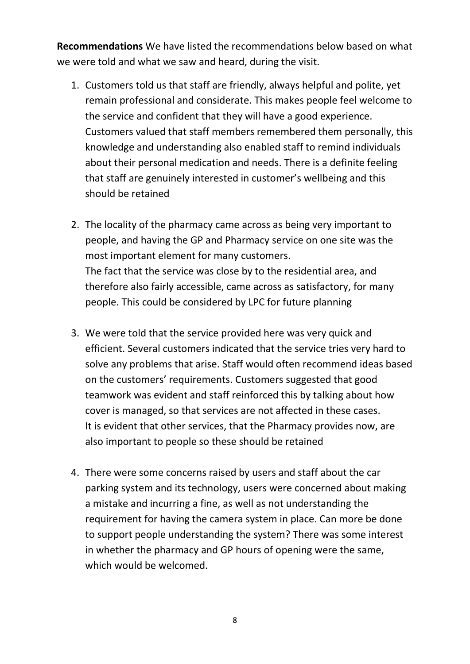**Recommendations** We have listed the recommendations below based on what we were told and what we saw and heard, during the visit.

- 1. Customers told us that staff are friendly, always helpful and polite, yet remain professional and considerate. This makes people feel welcome to the service and confident that they will have a good experience. Customers valued that staff members remembered them personally, this knowledge and understanding also enabled staff to remind individuals about their personal medication and needs. There is a definite feeling that staff are genuinely interested in customer's wellbeing and this should be retained
- 2. The locality of the pharmacy came across as being very important to people, and having the GP and Pharmacy service on one site was the most important element for many customers. The fact that the service was close by to the residential area, and therefore also fairly accessible, came across as satisfactory, for many people. This could be considered by LPC for future planning
- 3. We were told that the service provided here was very quick and efficient. Several customers indicated that the service tries very hard to solve any problems that arise. Staff would often recommend ideas based on the customers' requirements. Customers suggested that good teamwork was evident and staff reinforced this by talking about how cover is managed, so that services are not affected in these cases. It is evident that other services, that the Pharmacy provides now, are also important to people so these should be retained
- 4. There were some concerns raised by users and staff about the car parking system and its technology, users were concerned about making a mistake and incurring a fine, as well as not understanding the requirement for having the camera system in place. Can more be done to support people understanding the system? There was some interest in whether the pharmacy and GP hours of opening were the same, which would be welcomed.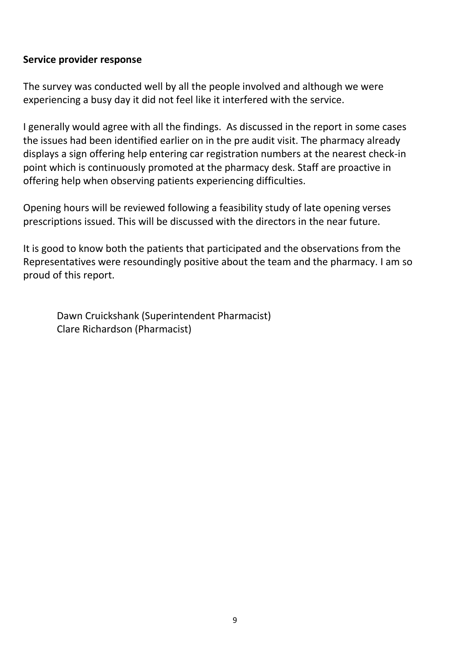#### **Service provider response**

The survey was conducted well by all the people involved and although we were experiencing a busy day it did not feel like it interfered with the service.

I generally would agree with all the findings. As discussed in the report in some cases the issues had been identified earlier on in the pre audit visit. The pharmacy already displays a sign offering help entering car registration numbers at the nearest check-in point which is continuously promoted at the pharmacy desk. Staff are proactive in offering help when observing patients experiencing difficulties.

Opening hours will be reviewed following a feasibility study of late opening verses prescriptions issued. This will be discussed with the directors in the near future.

It is good to know both the patients that participated and the observations from the Representatives were resoundingly positive about the team and the pharmacy. I am so proud of this report.

Dawn Cruickshank (Superintendent Pharmacist) Clare Richardson (Pharmacist)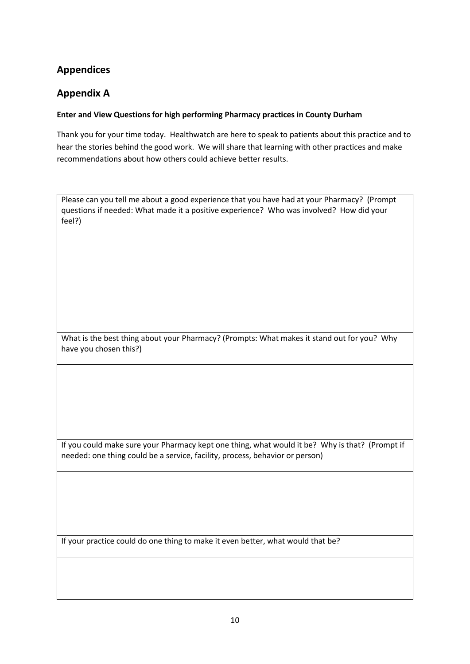#### **Appendices**

#### **Appendix A**

#### **Enter and View Questions for high performing Pharmacy practices in County Durham**

Thank you for your time today. Healthwatch are here to speak to patients about this practice and to hear the stories behind the good work. We will share that learning with other practices and make recommendations about how others could achieve better results.

Please can you tell me about a good experience that you have had at your Pharmacy? (Prompt questions if needed: What made it a positive experience? Who was involved? How did your feel?)

What is the best thing about your Pharmacy? (Prompts: What makes it stand out for you? Why have you chosen this?)

If you could make sure your Pharmacy kept one thing, what would it be? Why is that? (Prompt if needed: one thing could be a service, facility, process, behavior or person)

If your practice could do one thing to make it even better, what would that be?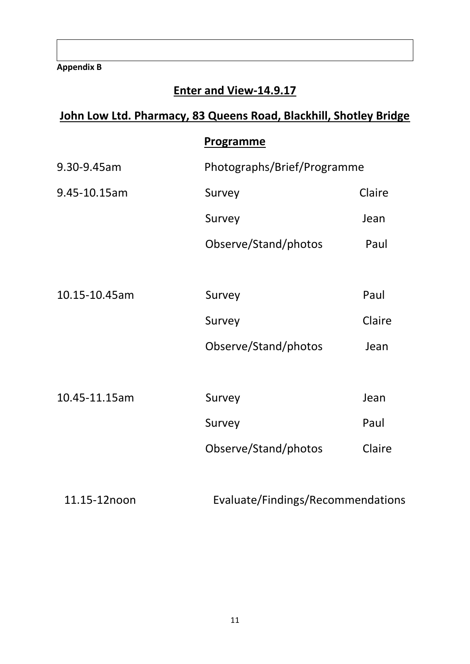**Appendix B**

## **Enter and View-14.9.17**

# **John Low Ltd. Pharmacy, 83 Queens Road, Blackhill, Shotley Bridge**

|               | <b>Programme</b>            |        |
|---------------|-----------------------------|--------|
| 9.30-9.45am   | Photographs/Brief/Programme |        |
| 9.45-10.15am  | Survey                      | Claire |
|               | Survey                      | Jean   |
|               | Observe/Stand/photos        | Paul   |
|               |                             |        |
| 10.15-10.45am | Survey                      | Paul   |
|               | Survey                      | Claire |
|               | Observe/Stand/photos        | Jean   |
|               |                             |        |
| 10.45-11.15am | Survey                      | Jean   |
|               | Survey                      | Paul   |
|               | Observe/Stand/photos        | Claire |
|               |                             |        |

11.15-12noon Evaluate/Findings/Recommendations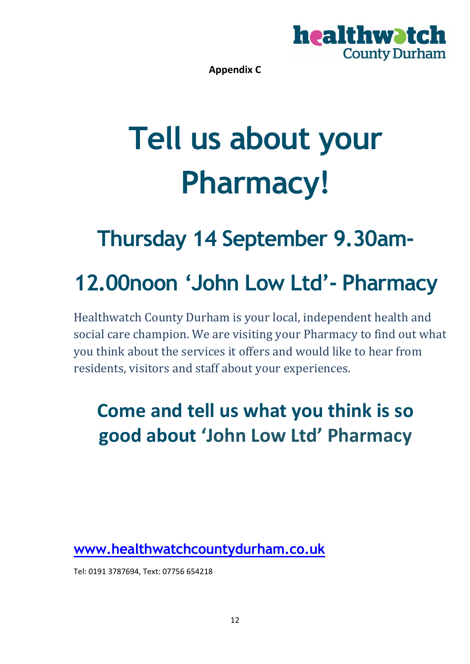

**Appendix C**

# **Tell us about your Pharmacy!**

# **Thursday 14 September 9.30am-**

# **12.00noon 'John Low Ltd'- Pharmacy**

Healthwatch County Durham is your local, independent health and social care champion. We are visiting your Pharmacy to find out what you think about the services it offers and would like to hear from residents, visitors and staff about your experiences.

# **Come and tell us what you think is so good about 'John Low Ltd' Pharmacy**

**[www.healthwatchcountydurham.co.uk](http://www.healthwatchcountydurham.co.uk/)**

Tel: 0191 3787694, Text: 07756 654218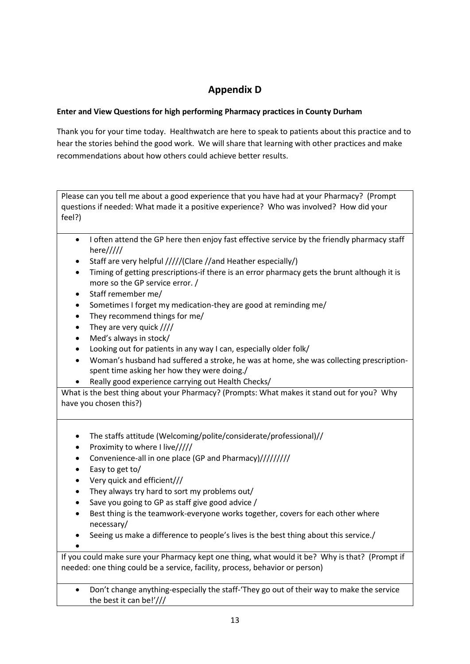#### **Appendix D**

#### **Enter and View Questions for high performing Pharmacy practices in County Durham**

Thank you for your time today. Healthwatch are here to speak to patients about this practice and to hear the stories behind the good work. We will share that learning with other practices and make recommendations about how others could achieve better results.

Please can you tell me about a good experience that you have had at your Pharmacy? (Prompt questions if needed: What made it a positive experience? Who was involved? How did your feel?)

- I often attend the GP here then enjoy fast effective service by the friendly pharmacy staff here/////
- Staff are very helpful /////(Clare //and Heather especially/)
- Timing of getting prescriptions-if there is an error pharmacy gets the brunt although it is more so the GP service error. /
- Staff remember me/
- Sometimes I forget my medication-they are good at reminding me/
- They recommend things for me/
- They are very quick ////
- Med's always in stock/
- Looking out for patients in any way I can, especially older folk/
- Woman's husband had suffered a stroke, he was at home, she was collecting prescriptionspent time asking her how they were doing./
- Really good experience carrying out Health Checks/

What is the best thing about your Pharmacy? (Prompts: What makes it stand out for you? Why have you chosen this?)

- The staffs attitude (Welcoming/polite/considerate/professional)//
- Proximity to where I live/////
- Convenience-all in one place (GP and Pharmacy)/////////
- Easy to get to/
- Very quick and efficient///
- They always try hard to sort my problems out/
- Save you going to GP as staff give good advice /
- Best thing is the teamwork-everyone works together, covers for each other where necessary/
- Seeing us make a difference to people's lives is the best thing about this service./
- 

 $\bullet$ 

If you could make sure your Pharmacy kept one thing, what would it be? Why is that? (Prompt if needed: one thing could be a service, facility, process, behavior or person)

 Don't change anything-especially the staff-'They go out of their way to make the service the best it can be!'///